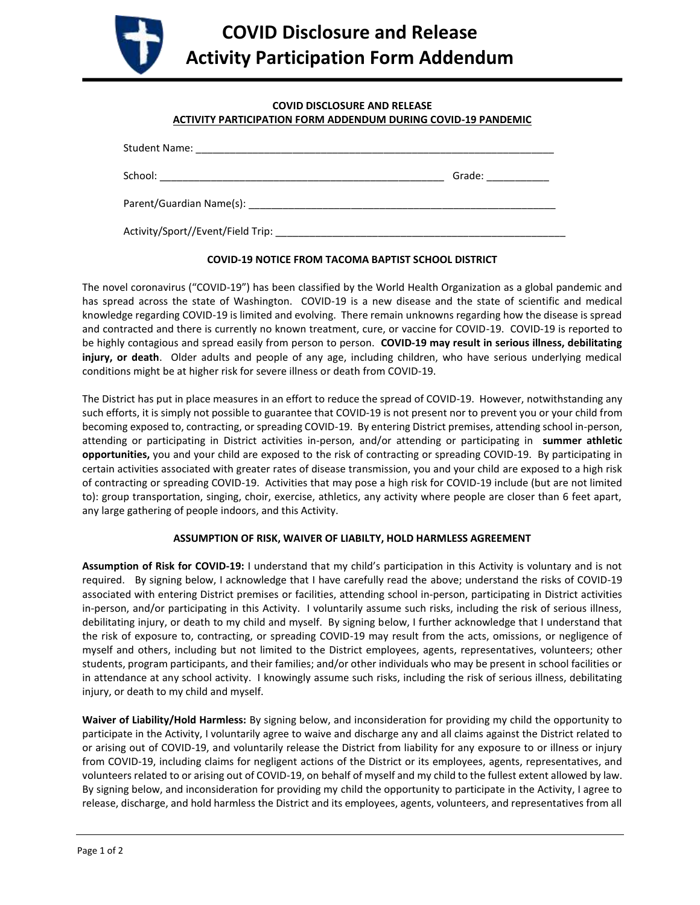

## **COVID DISCLOSURE AND RELEASE ACTIVITY PARTICIPATION FORM ADDENDUM DURING COVID-19 PANDEMIC**

|                                     | Grade: The Contract of the Contract of the Contract of the Contract of the Contract of the Contract of the Contract of the Contract of the Contract of the Contract of the Contract of the Contract of the Contract of the Con |
|-------------------------------------|--------------------------------------------------------------------------------------------------------------------------------------------------------------------------------------------------------------------------------|
|                                     |                                                                                                                                                                                                                                |
| _ Activity/Sport//Event/Field Trip: |                                                                                                                                                                                                                                |

## **COVID-19 NOTICE FROM TACOMA BAPTIST SCHOOL DISTRICT**

The novel coronavirus ("COVID-19") has been classified by the World Health Organization as a global pandemic and has spread across the state of Washington. COVID-19 is a new disease and the state of scientific and medical knowledge regarding COVID-19 is limited and evolving. There remain unknowns regarding how the disease is spread and contracted and there is currently no known treatment, cure, or vaccine for COVID-19. COVID-19 is reported to be highly contagious and spread easily from person to person. **COVID-19 may result in serious illness, debilitating injury, or death**.Older adults and people of any age, including children, who have serious underlying medical conditions might be at higher risk for severe illness or death from COVID-19.

The District has put in place measures in an effort to reduce the spread of COVID-19. However, notwithstanding any such efforts, it is simply not possible to guarantee that COVID-19 is not present nor to prevent you or your child from becoming exposed to, contracting, or spreading COVID-19. By entering District premises, attending school in-person, attending or participating in District activities in-person, and/or attending or participating in **summer athletic opportunities,** you and your child are exposed to the risk of contracting or spreading COVID-19. By participating in certain activities associated with greater rates of disease transmission, you and your child are exposed to a high risk of contracting or spreading COVID-19. Activities that may pose a high risk for COVID-19 include (but are not limited to): group transportation, singing, choir, exercise, athletics, any activity where people are closer than 6 feet apart, any large gathering of people indoors, and this Activity.

## **ASSUMPTION OF RISK, WAIVER OF LIABILTY, HOLD HARMLESS AGREEMENT**

**Assumption of Risk for COVID-19:** I understand that my child's participation in this Activity is voluntary and is not required. By signing below, I acknowledge that I have carefully read the above; understand the risks of COVID-19 associated with entering District premises or facilities, attending school in-person, participating in District activities in-person, and/or participating in this Activity. I voluntarily assume such risks, including the risk of serious illness, debilitating injury, or death to my child and myself. By signing below, I further acknowledge that I understand that the risk of exposure to, contracting, or spreading COVID-19 may result from the acts, omissions, or negligence of myself and others, including but not limited to the District employees, agents, representatives, volunteers; other students, program participants, and their families; and/or other individuals who may be present in school facilities or in attendance at any school activity. I knowingly assume such risks, including the risk of serious illness, debilitating injury, or death to my child and myself.

**Waiver of Liability/Hold Harmless:** By signing below, and inconsideration for providing my child the opportunity to participate in the Activity, I voluntarily agree to waive and discharge any and all claims against the District related to or arising out of COVID-19, and voluntarily release the District from liability for any exposure to or illness or injury from COVID-19, including claims for negligent actions of the District or its employees, agents, representatives, and volunteers related to or arising out of COVID-19, on behalf of myself and my child to the fullest extent allowed by law. By signing below, and inconsideration for providing my child the opportunity to participate in the Activity, I agree to release, discharge, and hold harmless the District and its employees, agents, volunteers, and representatives from all